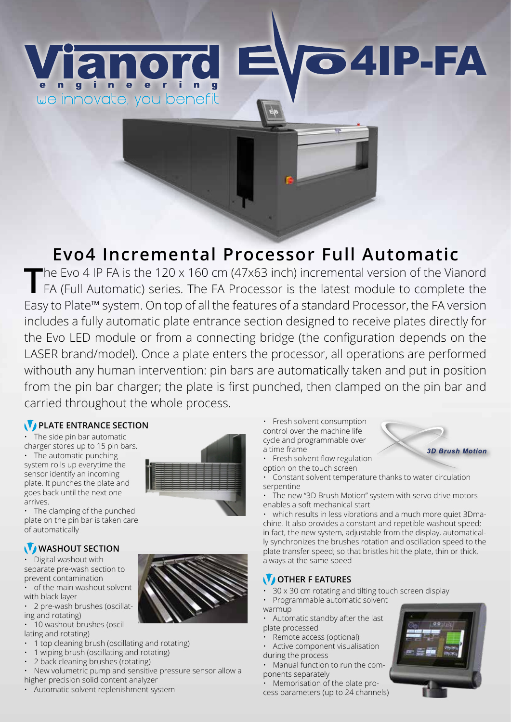# Weinnovate, you benefit

## **Evo4 Incremental Processor Full Automatic**

The Evo 4 IP FA is the 120 x 160 cm (47x63 inch) incremental version of the Vianord FA (Full Automatic) series. The FA Processor is the latest module to complete the Easy to Plate™ system. On top of all the features of a standard Processor, the FA version includes a fully automatic plate entrance section designed to receive plates directly for the Evo LED module or from a connecting bridge (the configuration depends on the LASER brand/model). Once a plate enters the processor, all operations are performed withouth any human intervention: pin bars are automatically taken and put in position from the pin bar charger; the plate is first punched, then clamped on the pin bar and carried throughout the whole process.

### **PLATE ENTRANCE SECTION**

The side pin bar automatic charger stores up to 15 pin bars.

• The automatic punching system rolls up everytime the sensor identify an incoming plate. It punches the plate and goes back until the next one arrives.



• The clamping of the punched plate on the pin bar is taken care of automatically

### WASHOUT SECTION

• Digital washout with separate pre-wash section to prevent contamination

• of the main washout solvent with black layer

• 2 pre-wash brushes (oscillating and rotating)

- 10 washout brushes (oscillating and rotating)
- 1 top cleaning brush (oscillating and rotating)
- 1 wiping brush (oscillating and rotating)
- 2 back cleaning brushes (rotating)

• New volumetric pump and sensitive pressure sensor allow a higher precision solid content analyzer

• Automatic solvent replenishment system

• Fresh solvent consumption control over the machine life cycle and programmable over a time frame

- Fresh solvent flow regulation option on the touch screen
- Constant solvent temperature thanks to water circulation serpentine
- The new "3D Brush Motion" system with servo drive motors enables a soft mechanical start

4IP-FA

• which results in less vibrations and a much more quiet 3Dmachine. It also provides a constant and repetible washout speed; in fact, the new system, adjustable from the display, automatically synchronizes the brushes rotation and oscillation speed to the plate transfer speed; so that bristles hit the plate, thin or thick, always at the same speed

#### *OTHER F EATURES*

- 30 x 30 cm rotating and tilting touch screen display
- Programmable automatic solvent
- warmup
- Automatic standby after the last plate processed
- Remote access (optional)
- Active component visualisation during the process
- Manual function to run the components separately

• Memorisation of the plate process parameters (up to 24 channels)



**3D Brush Motion**